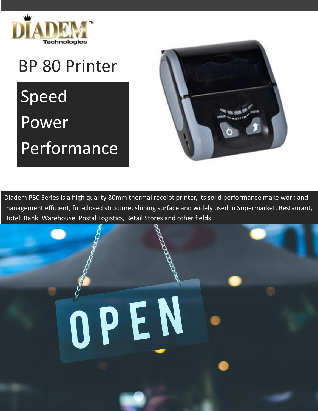

## BP 80 Printer

Speed Power Performance



Diadem P80 Series is a high quality 80mm thermal receipt printer, its solid performance make work and management efficient, full-closed structure, shining surface and widely used in Supermarket, Restaurant, Hotel, Bank, Warehouse, Postal Logistics, Retail Stores and other fields

## OPEN